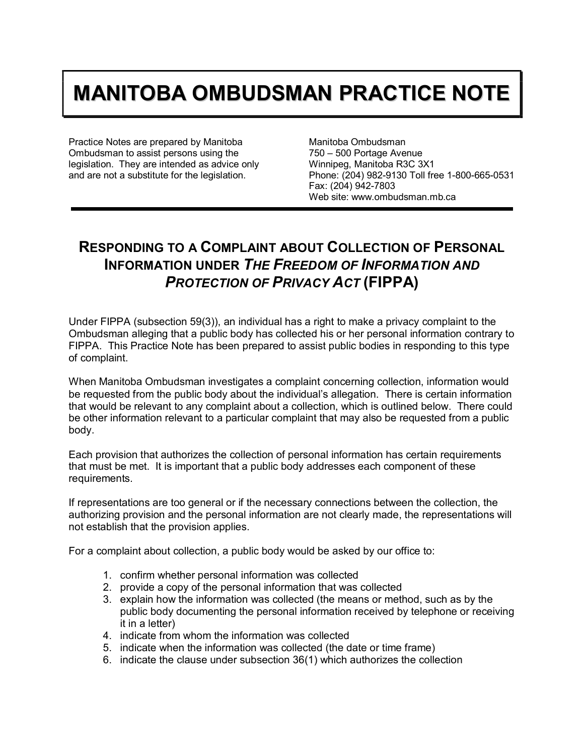## **MANITOBA OMBUDSMAN PRACTICE NOTE**

Practice Notes are prepared by Manitoba Ombudsman to assist persons using the legislation. They are intended as advice only and are not a substitute for the legislation.

Manitoba Ombudsman 750 – 500 Portage Avenue Winnipeg, Manitoba R3C 3X1 Phone: (204) 982-9130 Toll free 1-800-665-0531 Fax: (204) 942-7803 Web site: www.ombudsman.mb.ca

## **RESPONDING TO A COMPLAINT ABOUT COLLECTION OF PERSONAL INFORMATION UNDER** *THE FREEDOM OF INFORMATION AND PROTECTION OF PRIVACY ACT* **(FIPPA)**

Under FIPPA (subsection 59(3)), an individual has a right to make a privacy complaint to the Ombudsman alleging that a public body has collected his or her personal information contrary to FIPPA. This Practice Note has been prepared to assist public bodies in responding to this type of complaint.

When Manitoba Ombudsman investigates a complaint concerning collection, information would be requested from the public body about the individual's allegation. There is certain information that would be relevant to any complaint about a collection, which is outlined below. There could be other information relevant to a particular complaint that may also be requested from a public body.

Each provision that authorizes the collection of personal information has certain requirements that must be met. It is important that a public body addresses each component of these requirements.

If representations are too general or if the necessary connections between the collection, the authorizing provision and the personal information are not clearly made, the representations will not establish that the provision applies.

For a complaint about collection, a public body would be asked by our office to:

- 1. confirm whether personal information was collected
- 2. provide a copy of the personal information that was collected
- 3. explain how the information was collected (the means or method, such as by the public body documenting the personal information received by telephone or receiving it in a letter)
- 4. indicate from whom the information was collected
- 5. indicate when the information was collected (the date or time frame)
- 6. indicate the clause under subsection 36(1) which authorizes the collection